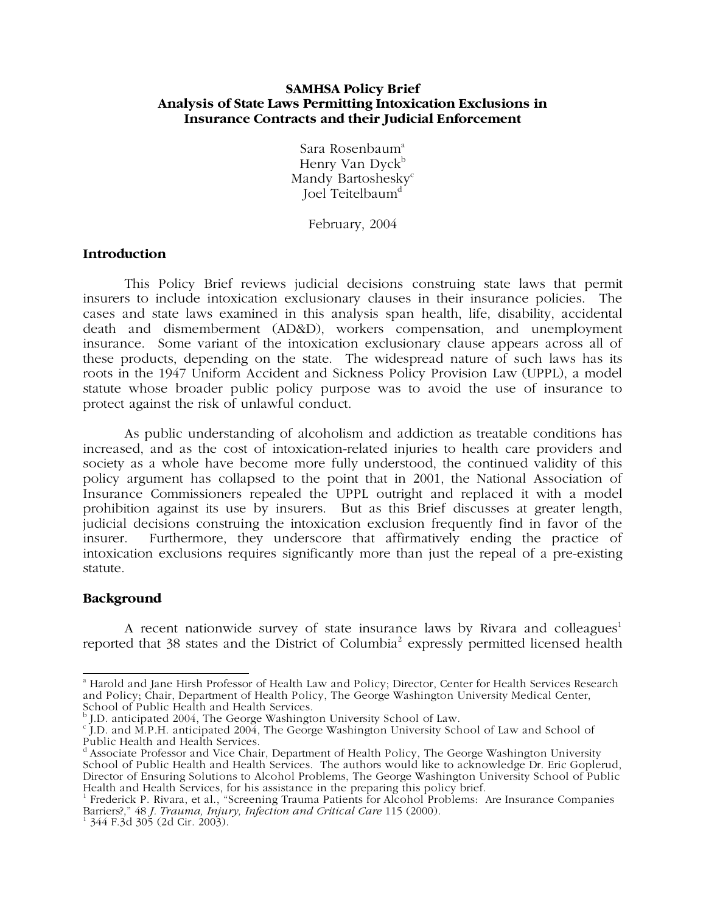## **SAMHSA Policy Brief Analysis of State Laws Permitting Intoxication Exclusions in Insurance Contracts and their Judicial Enforcement**

Sara Rosenbaum<sup>a</sup> Henry Van Dyck<sup>b</sup> Mandy Bartoshesky<sup>c</sup> Joel Teitelbaum<sup>d</sup>

February, 2004

## **Introduction**

This Policy Brief reviews judicial decisions construing state laws that permit insurers to include intoxication exclusionary clauses in their insurance policies. The cases and state laws examined in this analysis span health, life, disability, accidental death and dismemberment (AD&D), workers compensation, and unemployment insurance. Some variant of the intoxication exclusionary clause appears across all of these products, depending on the state. The widespread nature of such laws has its roots in the 1947 Uniform Accident and Sickness Policy Provision Law (UPPL), a model statute whose broader public policy purpose was to avoid the use of insurance to protect against the risk of unlawful conduct.

As public understanding of alcoholism and addiction as treatable conditions has increased, and as the cost of intoxication-related injuries to health care providers and society as a whole have become more fully understood, the continued validity of this policy argument has collapsed to the point that in 2001, the National Association of Insurance Commissioners repealed the UPPL outright and replaced it with a model prohibition against its use by insurers. But as this Brief discusses at greater length, judicial decisions construing the intoxication exclusion frequently find in favor of the insurer. Furthermore, they underscore that affirmatively ending the practice of intoxication exclusions requires significantly more than just the repeal of a pre-existing statute.

## **Background**

A recent nationwide survey of state insurance laws by Rivara and colleagues<sup>1</sup> reported that 38 states and the District of Columbia<sup>2</sup> expressly permitted licensed health

 a Harold and Jane Hirsh Professor of Health Law and Policy; Director, Center for Health Services Research and Policy; Chair, Department of Health Policy, The George Washington University Medical Center,

School of Public Health and Health Services.<br><sup>b</sup> J.D. anticipated 2004, The George Washington University School of Law.<br><sup>c</sup> J.D. and M.P.H. anticipated 2004, The George Washington University School of Law and School of Public Health and Health Services.

<sup>&</sup>lt;sup>d</sup> Associate Professor and Vice Chair, Department of Health Policy, The George Washington University School of Public Health and Health Services. The authors would like to acknowledge Dr. Eric Goplerud, Director of Ensuring Solutions to Alcohol Problems, The George Washington University School of Public Health and Health Services, for his assistance in the preparing this policy brief.

<sup>&</sup>lt;sup>1</sup> Frederick P. Rivara, et al., "Screening Trauma Patients for Alcohol Problems: Are Insurance Companies Barriers?," 48 *J. Trauma, Injury, Infection and Critical Care* 115 (2000). 1

 $1\,344$  F.3d 305 (2d Cir. 2003).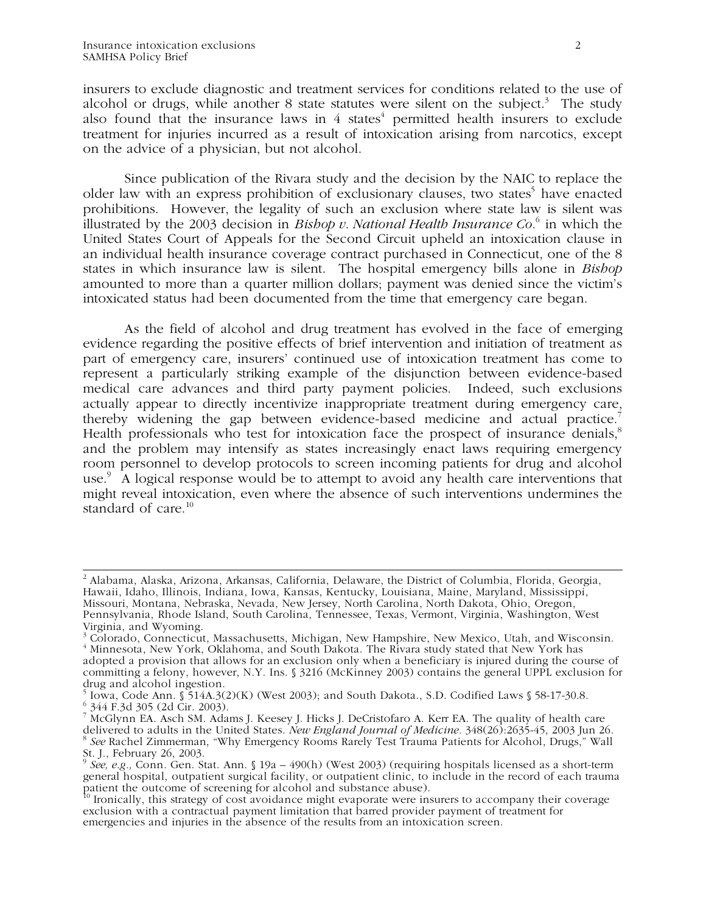insurers to exclude diagnostic and treatment services for conditions related to the use of alcohol or drugs, while another 8 state statutes were silent on the subject.<sup>3</sup> The study also found that the insurance laws in  $4$  states<sup>4</sup> permitted health insurers to exclude treatment for injuries incurred as a result of intoxication arising from narcotics, except on the advice of a physician, but not alcohol.

Since publication of the Rivara study and the decision by the NAIC to replace the older law with an express prohibition of exclusionary clauses, two states<sup>5</sup> have enacted prohibitions. However, the legality of such an exclusion where state law is silent was illustrated by the 2003 decision in *Bishop v. National Health Insurance Co.*<sup>6</sup> in which the United States Court of Appeals for the Second Circuit upheld an intoxication clause in an individual health insurance coverage contract purchased in Connecticut, one of the 8 states in which insurance law is silent. The hospital emergency bills alone in *Bishop* amounted to more than a quarter million dollars; payment was denied since the victim's intoxicated status had been documented from the time that emergency care began.

As the field of alcohol and drug treatment has evolved in the face of emerging evidence regarding the positive effects of brief intervention and initiation of treatment as part of emergency care, insurers' continued use of intoxication treatment has come to represent a particularly striking example of the disjunction between evidence-based medical care advances and third party payment policies. Indeed, such exclusions actually appear to directly incentivize inappropriate treatment during emergency care, thereby widening the gap between evidence-based medicine and actual practice.<sup>7</sup> Health professionals who test for intoxication face the prospect of insurance denials,<sup>8</sup> and the problem may intensify as states increasingly enact laws requiring emergency room personnel to develop protocols to screen incoming patients for drug and alcohol use.<sup>9</sup> A logical response would be to attempt to avoid any health care interventions that might reveal intoxication, even where the absence of such interventions undermines the standard of care. $10$ 

 $\frac{1}{2}$  Alabama, Alaska, Arizona, Arkansas, California, Delaware, the District of Columbia, Florida, Georgia, Hawaii, Idaho, Illinois, Indiana, Iowa, Kansas, Kentucky, Louisiana, Maine, Maryland, Mississippi, Missouri, Montana, Nebraska, Nevada, New Jersey, North Carolina, North Dakota, Ohio, Oregon, Pennsylvania, Rhode Island, South Carolina, Tennessee, Texas, Vermont, Virginia, Washington, West Virginia, and Wyoming.

<sup>&</sup>lt;sup>3</sup> Colorado, Connecticut, Massachusetts, Michigan, New Hampshire, New Mexico, Utah, and Wisconsin. <sup>4</sup> Minnesota, New York, Oklahoma, and South Dakota. The Rivara study stated that New York has adopted a provision that allows for an exclusion only when a beneficiary is injured during the course of committing a felony, however, N.Y. Ins. § 3216 (McKinney 2003) contains the general UPPL exclusion for drug and alcohol ingestion.

 $5\overline{)}$  Iowa, Code Ann. § 514A.3(2)(K) (West 2003); and South Dakota., S.D. Codified Laws § 58-17-30.8. 6 344 F.3d 305 (2d Cir. 2003).

<sup>7</sup> McGlynn EA. Asch SM. Adams J. Keesey J. Hicks J. DeCristofaro A. Kerr EA. The quality of health care delivered to adults in the United States. *New England Journal of Medicine.* 348(26):2635-45, 2003 Jun 26. <sup>8</sup> *See* Rachel Zimmerman, "Why Emergency Rooms Rarely Test Trauma Patients for Alcohol, Drugs," Wall St. J., February 26, 2003.

<sup>9</sup> *See, e.g.,* Conn. Gen. Stat. Ann. § 19a – 490(h) (West 2003) (requiring hospitals licensed as a short-term general hospital, outpatient surgical facility, or outpatient clinic, to include in the record of each trauma patient the outcome of screening for alcohol and substance abuse).

<sup>&</sup>lt;sup>10</sup> Ironically, this strategy of cost avoidance might evaporate were insurers to accompany their coverage exclusion with a contractual payment limitation that barred provider payment of treatment for emergencies and injuries in the absence of the results from an intoxication screen.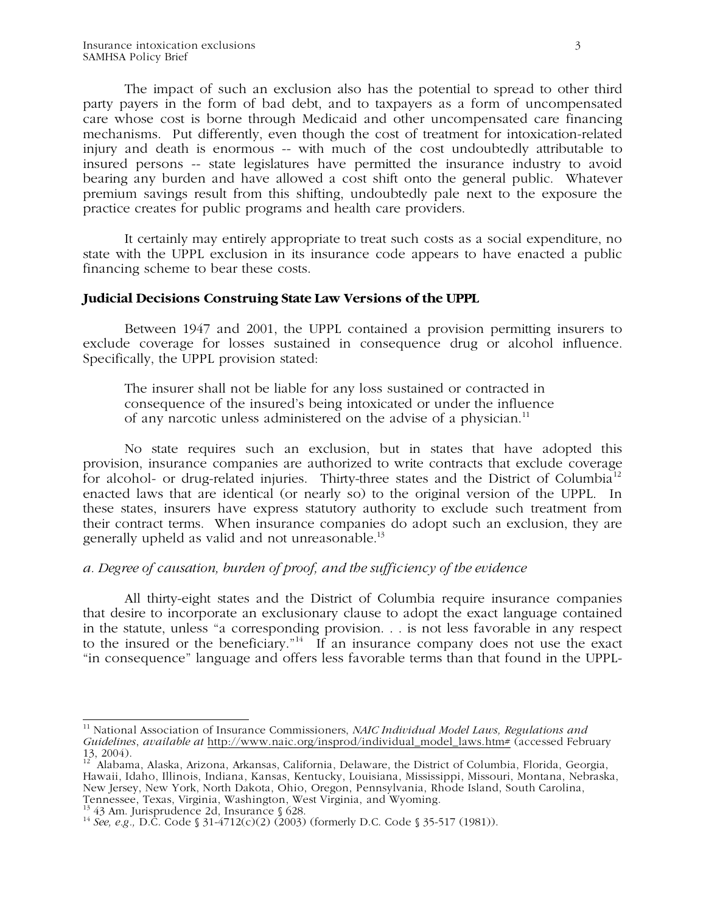The impact of such an exclusion also has the potential to spread to other third party payers in the form of bad debt, and to taxpayers as a form of uncompensated care whose cost is borne through Medicaid and other uncompensated care financing mechanisms. Put differently, even though the cost of treatment for intoxication-related injury and death is enormous -- with much of the cost undoubtedly attributable to insured persons -- state legislatures have permitted the insurance industry to avoid bearing any burden and have allowed a cost shift onto the general public. Whatever premium savings result from this shifting, undoubtedly pale next to the exposure the practice creates for public programs and health care providers.

It certainly may entirely appropriate to treat such costs as a social expenditure, no state with the UPPL exclusion in its insurance code appears to have enacted a public financing scheme to bear these costs.

## **Judicial Decisions Construing State Law Versions of the UPPL**

 Between 1947 and 2001, the UPPL contained a provision permitting insurers to exclude coverage for losses sustained in consequence drug or alcohol influence. Specifically, the UPPL provision stated:

The insurer shall not be liable for any loss sustained or contracted in consequence of the insured's being intoxicated or under the influence of any narcotic unless administered on the advise of a physician.<sup>11</sup>

No state requires such an exclusion, but in states that have adopted this provision, insurance companies are authorized to write contracts that exclude coverage for alcohol- or drug-related injuries. Thirty-three states and the District of Columbia<sup>12</sup> enacted laws that are identical (or nearly so) to the original version of the UPPL. In these states, insurers have express statutory authority to exclude such treatment from their contract terms. When insurance companies do adopt such an exclusion, they are generally upheld as valid and not unreasonable. $^{13}$ 

## *a. Degree of causation, burden of proof, and the sufficiency of the evidence*

All thirty-eight states and the District of Columbia require insurance companies that desire to incorporate an exclusionary clause to adopt the exact language contained in the statute, unless "a corresponding provision. . . is not less favorable in any respect to the insured or the beneficiary."<sup>14</sup> If an insurance company does not use the exact "in consequence" language and offers less favorable terms than that found in the UPPL-

 $\frac{1}{4}$ 11 National Association of Insurance Commissioners, *NAIC Individual Model Laws, Regulations and Guidelines*, *available at* http://www.naic.org/insprod/individual\_model\_laws.htm# (accessed February 13, 2004).

<sup>&</sup>lt;sup>12</sup> Alabama, Alaska, Arizona, Arkansas, California, Delaware, the District of Columbia, Florida, Georgia, Hawaii, Idaho, Illinois, Indiana, Kansas, Kentucky, Louisiana, Mississippi, Missouri, Montana, Nebraska, New Jersey, New York, North Dakota, Ohio, Oregon, Pennsylvania, Rhode Island, South Carolina, Tennessee, Texas, Virginia, Washington, West Virginia, and Wyoming.

<sup>&</sup>lt;sup>13</sup> 43 Am. Jurisprudence 2d, Insurance § 628.<br><sup>14</sup> *See, e.g.*, D.C. Code § 31-4712(c)(2) (2003) (formerly D.C. Code § 35-517 (1981)).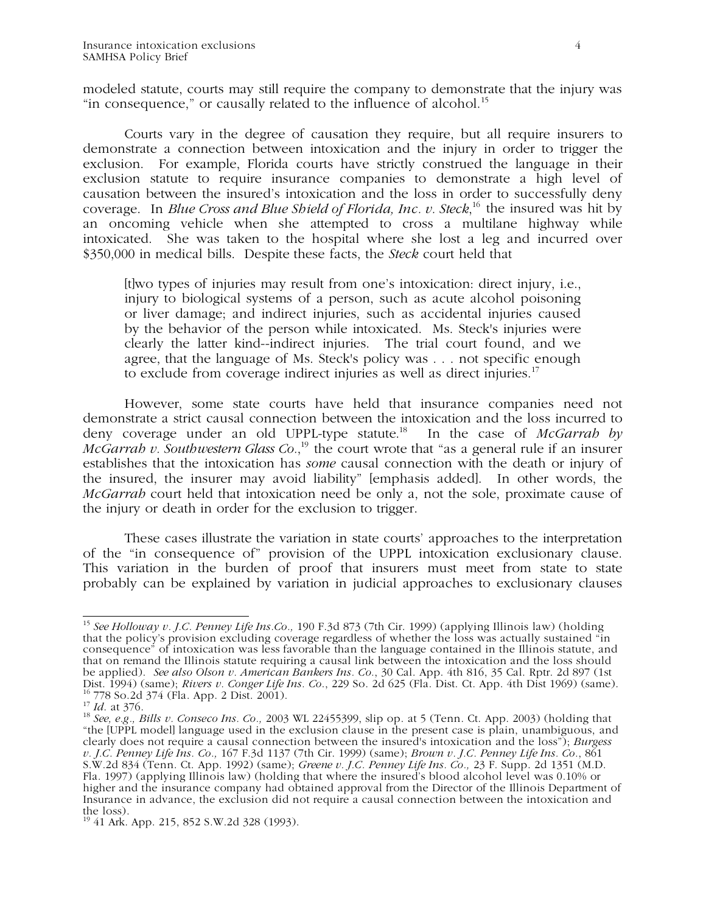modeled statute, courts may still require the company to demonstrate that the injury was "in consequence," or causally related to the influence of alcohol.<sup>15</sup>

Courts vary in the degree of causation they require, but all require insurers to demonstrate a connection between intoxication and the injury in order to trigger the exclusion. For example, Florida courts have strictly construed the language in their exclusion statute to require insurance companies to demonstrate a high level of causation between the insured's intoxication and the loss in order to successfully deny coverage. In *Blue Cross and Blue Shield of Florida, Inc. v. Steck*, 16 the insured was hit by an oncoming vehicle when she attempted to cross a multilane highway while intoxicated. She was taken to the hospital where she lost a leg and incurred over \$350,000 in medical bills. Despite these facts, the *Steck* court held that

[t]wo types of injuries may result from one's intoxication: direct injury, i.e., injury to biological systems of a person, such as acute alcohol poisoning or liver damage; and indirect injuries, such as accidental injuries caused by the behavior of the person while intoxicated. Ms. Steck's injuries were clearly the latter kind--indirect injuries. The trial court found, and we agree, that the language of Ms. Steck's policy was . . . not specific enough to exclude from coverage indirect injuries as well as direct injuries.<sup>17</sup>

However, some state courts have held that insurance companies need not demonstrate a strict causal connection between the intoxication and the loss incurred to deny coverage under an old UPPL-type statute.18 In the case of *McGarrah by McGarrah v. Southwestern Glass Co.*,<sup>19</sup> the court wrote that "as a general rule if an insurer establishes that the intoxication has *some* causal connection with the death or injury of the insured, the insurer may avoid liability" [emphasis added]. In other words, the *McGarrah* court held that intoxication need be only a, not the sole, proximate cause of the injury or death in order for the exclusion to trigger.

These cases illustrate the variation in state courts' approaches to the interpretation of the "in consequence of" provision of the UPPL intoxication exclusionary clause. This variation in the burden of proof that insurers must meet from state to state probably can be explained by variation in judicial approaches to exclusionary clauses

 $\frac{1}{4}$ <sup>15</sup> *See Holloway v. J.C. Penney Life Ins.Co.,* 190 F.3d 873 (7th Cir. 1999) (applying Illinois law) (holding that the policy's provision excluding coverage regardless of whether the loss was actually sustained "in consequence" of intoxication was less favorable than the language contained in the Illinois statute, and that on remand the Illinois statute requiring a causal link between the intoxication and the loss should be applied). *See also Olson v. American Bankers Ins. Co.*, 30 Cal. App. 4th 816, 35 Cal. Rptr. 2d 897 (1st Dist. 1994) (same); *Rivers v. Conger Life Ins. Co*., 229 So. 2d 625 (Fla. Dist. Ct. App. 4th Dist 1969) (same). 16 778 So.2d 374 (Fla. App. 2 Dist. 2001). <sup>16</sup> 778 So.2d 374 (Fla. App. 2 Dist. 2001).<br><sup>17</sup> *Id.* at 376.<br><sup>18</sup> *See, e.g., Bills v. Conseco Ins. Co.,* 2003 WL 22455399, slip op. at 5 (Tenn. Ct. App. 2003) (holding that

<sup>&</sup>quot;the [UPPL model] language used in the exclusion clause in the present case is plain, unambiguous, and clearly does not require a causal connection between the insured's intoxication and the loss"); *Burgess v. J.C. Penney Life Ins. Co.,* 167 F.3d 1137 (7th Cir. 1999) (same); *Brown v. J.C. Penney Life Ins. Co.*, 861 S.W.2d 834 (Tenn. Ct. App. 1992) (same); *Greene v. J.C. Penney Life Ins. Co.,* 23 F. Supp. 2d 1351 (M.D. Fla. 1997) (applying Illinois law) (holding that where the insured's blood alcohol level was 0.10% or higher and the insurance company had obtained approval from the Director of the Illinois Department of Insurance in advance, the exclusion did not require a causal connection between the intoxication and the loss).

<sup>19 41</sup> Ark. App. 215, 852 S.W.2d 328 (1993).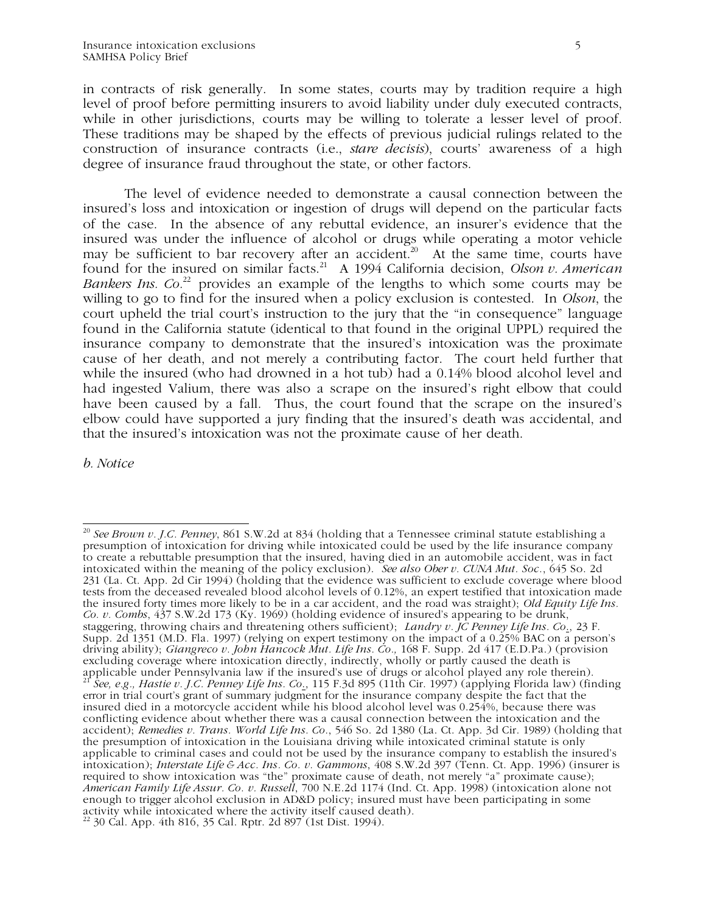in contracts of risk generally. In some states, courts may by tradition require a high level of proof before permitting insurers to avoid liability under duly executed contracts, while in other jurisdictions, courts may be willing to tolerate a lesser level of proof. These traditions may be shaped by the effects of previous judicial rulings related to the construction of insurance contracts (i.e., *stare decisis*), courts' awareness of a high degree of insurance fraud throughout the state, or other factors.

The level of evidence needed to demonstrate a causal connection between the insured's loss and intoxication or ingestion of drugs will depend on the particular facts of the case. In the absence of any rebuttal evidence, an insurer's evidence that the insured was under the influence of alcohol or drugs while operating a motor vehicle may be sufficient to bar recovery after an accident.<sup>20</sup> At the same time, courts have found for the insured on similar facts.<sup>21</sup> A 1994 California decision, *Olson v. American Bankers Ins. Co.*<sup>22</sup> provides an example of the lengths to which some courts may be willing to go to find for the insured when a policy exclusion is contested. In *Olson*, the court upheld the trial court's instruction to the jury that the "in consequence" language found in the California statute (identical to that found in the original UPPL) required the insurance company to demonstrate that the insured's intoxication was the proximate cause of her death, and not merely a contributing factor. The court held further that while the insured (who had drowned in a hot tub) had a 0.14% blood alcohol level and had ingested Valium, there was also a scrape on the insured's right elbow that could have been caused by a fall. Thus, the court found that the scrape on the insured's elbow could have supported a jury finding that the insured's death was accidental, and that the insured's intoxication was not the proximate cause of her death.

*b. Notice* 

 $\overline{a}$ <sup>20</sup> *See Brown v. J.C. Penney*, 861 S.W.2d at 834 (holding that a Tennessee criminal statute establishing a presumption of intoxication for driving while intoxicated could be used by the life insurance company to create a rebuttable presumption that the insured, having died in an automobile accident, was in fact intoxicated within the meaning of the policy exclusion). *See also Ober v. CUNA Mut. Soc.*, 645 So. 2d 231 (La. Ct. App. 2d Cir 1994) (holding that the evidence was sufficient to exclude coverage where blood tests from the deceased revealed blood alcohol levels of 0.12%, an expert testified that intoxication made the insured forty times more likely to be in a car accident, and the road was straight); *Old Equity Life Ins. Co. v. Combs*, 437 S.W.2d 173 (Ky. 1969) (holding evidence of insured's appearing to be drunk, staggering, throwing chairs and threatening others sufficient); *Landry v. JC Penney Life Ins. Co*., 23 F. Supp. 2d 1351 (M.D. Fla. 1997) (relying on expert testimony on the impact of a 0.25% BAC on a person's driving ability); *Giangreco v. John Hancock Mut. Life Ins. Co.,* 168 F. Supp. 2d 417 (E.D.Pa.) (provision excluding coverage where intoxication directly, indirectly, wholly or partly caused the death is applicable under Pennsylvania law if the insured's use of drugs or alcohol played any role therein). <sup>21</sup> *See, e.g., Hastie v. J.C. Penney Life Ins. Co*., 115 F.3d 895 (11th Cir. 1997) (applying Florida law) (finding error in trial court's grant of summary judgment for the insurance company despite the fact that the insured died in a motorcycle accident while his blood alcohol level was 0.254%, because there was conflicting evidence about whether there was a causal connection between the intoxication and the accident); *Remedies v. Trans. World Life Ins. Co.*, 546 So. 2d 1380 (La. Ct. App. 3d Cir. 1989) (holding that the presumption of intoxication in the Louisiana driving while intoxicated criminal statute is only applicable to criminal cases and could not be used by the insurance company to establish the insured's intoxication); *Interstate Life & Acc. Ins. Co. v. Gammons*, 408 S.W.2d 397 (Tenn. Ct. App. 1996) (insurer is required to show intoxication was "the" proximate cause of death, not merely "a" proximate cause); *American Family Life Assur. Co. v. Russell*, 700 N.E.2d 1174 (Ind. Ct. App. 1998) (intoxication alone not enough to trigger alcohol exclusion in AD&D policy; insured must have been participating in some activity while intoxicated where the activity itself caused death). 22 30 Cal. App. 4th 816, 35 Cal. Rptr. 2d 897 (1st Dist. 1994).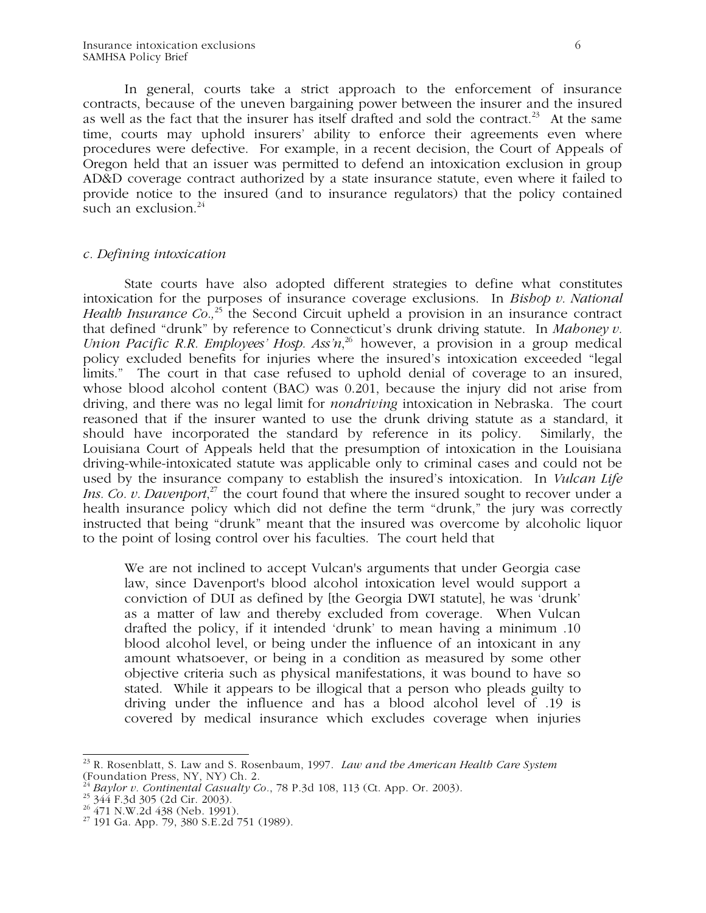In general, courts take a strict approach to the enforcement of insurance contracts, because of the uneven bargaining power between the insurer and the insured as well as the fact that the insurer has itself drafted and sold the contract.<sup>23</sup> At the same time, courts may uphold insurers' ability to enforce their agreements even where procedures were defective. For example, in a recent decision, the Court of Appeals of Oregon held that an issuer was permitted to defend an intoxication exclusion in group AD&D coverage contract authorized by a state insurance statute, even where it failed to provide notice to the insured (and to insurance regulators) that the policy contained such an exclusion. $^{24}$ 

### *c. Defining intoxication*

 State courts have also adopted different strategies to define what constitutes intoxication for the purposes of insurance coverage exclusions. In *Bishop v. National Health Insurance Co.*<sup>25</sup> the Second Circuit upheld a provision in an insurance contract that defined "drunk" by reference to Connecticut's drunk driving statute. In *Mahoney v. Union Pacific R.R. Employees' Hosp. Ass'n*<sup>26</sup> however, a provision in a group medical policy excluded benefits for injuries where the insured's intoxication exceeded "legal limits." The court in that case refused to uphold denial of coverage to an insured, whose blood alcohol content (BAC) was 0.201, because the injury did not arise from driving, and there was no legal limit for *nondriving* intoxication in Nebraska. The court reasoned that if the insurer wanted to use the drunk driving statute as a standard, it should have incorporated the standard by reference in its policy. Similarly, the Louisiana Court of Appeals held that the presumption of intoxication in the Louisiana driving-while-intoxicated statute was applicable only to criminal cases and could not be used by the insurance company to establish the insured's intoxication. In *Vulcan Life Ins. Co. v. Davenport*<sup>27</sup>, the court found that where the insured sought to recover under a health insurance policy which did not define the term "drunk," the jury was correctly instructed that being "drunk" meant that the insured was overcome by alcoholic liquor to the point of losing control over his faculties. The court held that

We are not inclined to accept Vulcan's arguments that under Georgia case law, since Davenport's blood alcohol intoxication level would support a conviction of DUI as defined by [the Georgia DWI statute], he was 'drunk' as a matter of law and thereby excluded from coverage. When Vulcan drafted the policy, if it intended 'drunk' to mean having a minimum .10 blood alcohol level, or being under the influence of an intoxicant in any amount whatsoever, or being in a condition as measured by some other objective criteria such as physical manifestations, it was bound to have so stated. While it appears to be illogical that a person who pleads guilty to driving under the influence and has a blood alcohol level of .19 is covered by medical insurance which excludes coverage when injuries

 $\overline{a}$ 23 R. Rosenblatt, S. Law and S. Rosenbaum, 1997. *Law and the American Health Care System*  (Foundation Press, NY, NY) Ch. 2.

<sup>&</sup>lt;sup>24</sup> *Baylor v. Continental Casualty Co.*, 78 P.3d 108, 113 (Ct. App. Or. 2003).<br><sup>25</sup> 344 F.3d 305 (2d Cir. 2003).<br><sup>26</sup> 471 N.W.2d 438 (Neb. 1991).

 $27$  191 Ga. App. 79, 380 S.E.2d 751 (1989).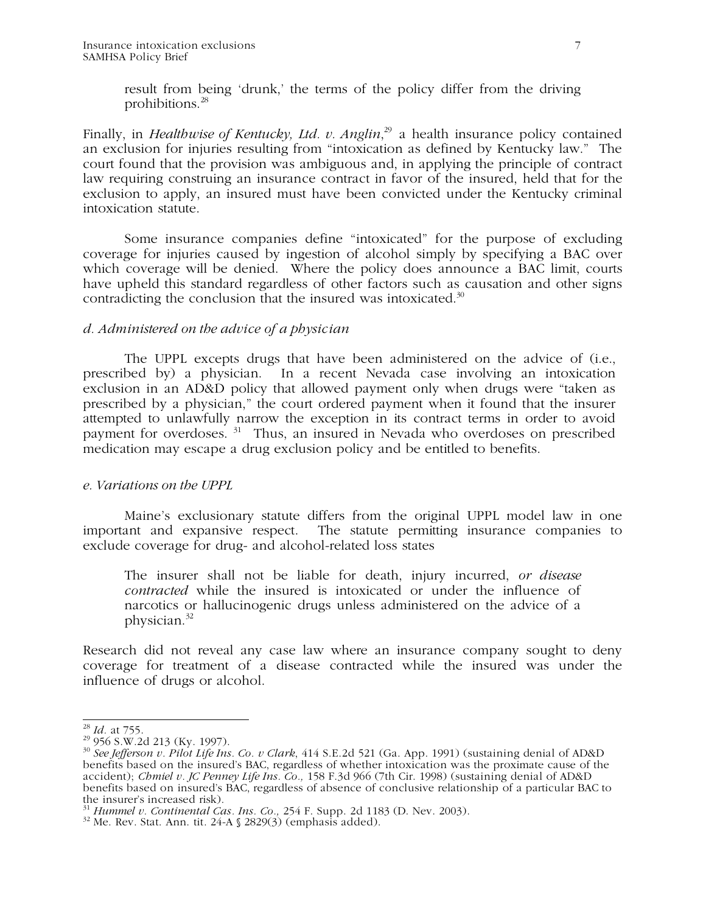result from being 'drunk,' the terms of the policy differ from the driving prohibitions.<sup>28</sup>

Finally, in *Healthwise of Kentucky, Ltd. v. Anglin*, 29 a health insurance policy contained an exclusion for injuries resulting from "intoxication as defined by Kentucky law." The court found that the provision was ambiguous and, in applying the principle of contract law requiring construing an insurance contract in favor of the insured, held that for the exclusion to apply, an insured must have been convicted under the Kentucky criminal intoxication statute.

 Some insurance companies define "intoxicated" for the purpose of excluding coverage for injuries caused by ingestion of alcohol simply by specifying a BAC over which coverage will be denied. Where the policy does announce a BAC limit, courts have upheld this standard regardless of other factors such as causation and other signs contradicting the conclusion that the insured was intoxicated. $30$ 

### *d. Administered on the advice of a physician*

The UPPL excepts drugs that have been administered on the advice of (i.e., prescribed by) a physician. In a recent Nevada case involving an intoxication exclusion in an AD&D policy that allowed payment only when drugs were "taken as prescribed by a physician," the court ordered payment when it found that the insurer attempted to unlawfully narrow the exception in its contract terms in order to avoid payment for overdoses. 31 Thus, an insured in Nevada who overdoses on prescribed medication may escape a drug exclusion policy and be entitled to benefits.

### *e. Variations on the UPPL*

Maine's exclusionary statute differs from the original UPPL model law in one important and expansive respect. The statute permitting insurance companies to exclude coverage for drug- and alcohol-related loss states

The insurer shall not be liable for death, injury incurred, *or disease contracted* while the insured is intoxicated or under the influence of narcotics or hallucinogenic drugs unless administered on the advice of a physician.<sup>32</sup>

Research did not reveal any case law where an insurance company sought to deny coverage for treatment of a disease contracted while the insured was under the influence of drugs or alcohol.

 $^{28}$  *Id.* at 755.

<sup>28</sup> *Id.* at 755. 29 956 S.W.2d 213 (Ky. 1997). 30 *See Jefferson v. Pilot Life Ins. Co. v Clark*, 414 S.E.2d 521 (Ga. App. 1991) (sustaining denial of AD&D benefits based on the insured's BAC, regardless of whether intoxication was the proximate cause of the accident); *Chmiel v. JC Penney Life Ins. Co.,* 158 F.3d 966 (7th Cir. 1998) (sustaining denial of AD&D benefits based on insured's BAC, regardless of absence of conclusive relationship of a particular BAC to the insurer's increased risk).

<sup>31</sup> *Hummel v. Continental Cas. Ins. Co.,* 254 F. Supp. 2d 1183 (D. Nev. 2003). 32 Me. Rev. Stat. Ann. tit. 24-A § 2829(3) (emphasis added).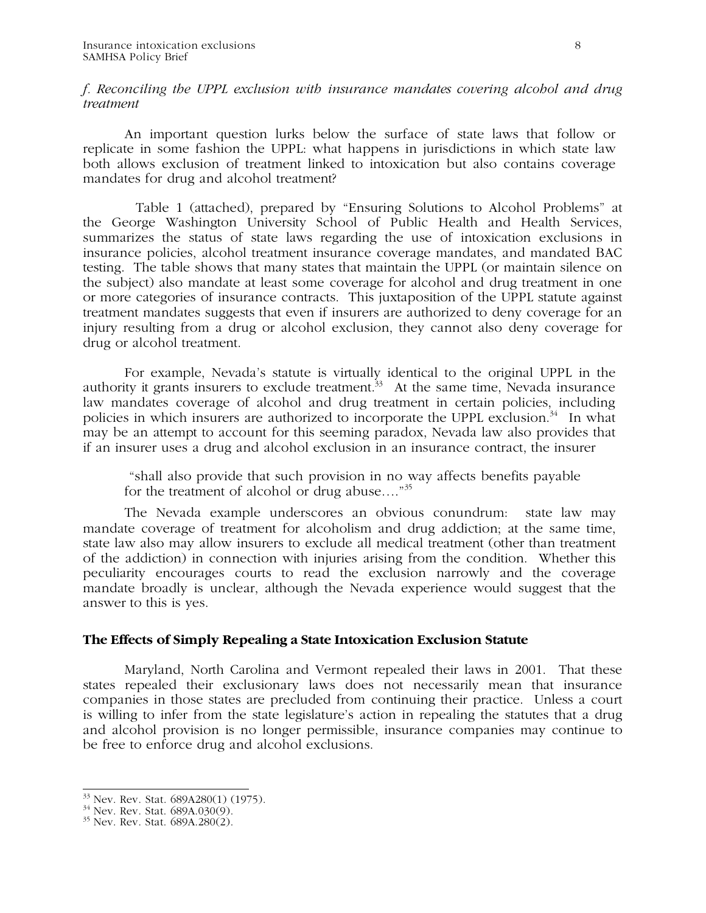## *f. Reconciling the UPPL exclusion with insurance mandates covering alcohol and drug treatment*

 An important question lurks below the surface of state laws that follow or replicate in some fashion the UPPL: what happens in jurisdictions in which state law both allows exclusion of treatment linked to intoxication but also contains coverage mandates for drug and alcohol treatment?

 Table 1 (attached), prepared by "Ensuring Solutions to Alcohol Problems" at the George Washington University School of Public Health and Health Services, summarizes the status of state laws regarding the use of intoxication exclusions in insurance policies, alcohol treatment insurance coverage mandates, and mandated BAC testing. The table shows that many states that maintain the UPPL (or maintain silence on the subject) also mandate at least some coverage for alcohol and drug treatment in one or more categories of insurance contracts. This juxtaposition of the UPPL statute against treatment mandates suggests that even if insurers are authorized to deny coverage for an injury resulting from a drug or alcohol exclusion, they cannot also deny coverage for drug or alcohol treatment.

For example, Nevada's statute is virtually identical to the original UPPL in the authority it grants insurers to exclude treatment.<sup>33</sup> At the same time, Nevada insurance law mandates coverage of alcohol and drug treatment in certain policies, including policies in which insurers are authorized to incorporate the UPPL exclusion. $34$  In what may be an attempt to account for this seeming paradox, Nevada law also provides that if an insurer uses a drug and alcohol exclusion in an insurance contract, the insurer

 "shall also provide that such provision in no way affects benefits payable for the treatment of alcohol or drug abuse...."<sup>35</sup>

The Nevada example underscores an obvious conundrum: state law may mandate coverage of treatment for alcoholism and drug addiction; at the same time, state law also may allow insurers to exclude all medical treatment (other than treatment of the addiction) in connection with injuries arising from the condition. Whether this peculiarity encourages courts to read the exclusion narrowly and the coverage mandate broadly is unclear, although the Nevada experience would suggest that the answer to this is yes.

## **The Effects of Simply Repealing a State Intoxication Exclusion Statute**

 Maryland, North Carolina and Vermont repealed their laws in 2001. That these states repealed their exclusionary laws does not necessarily mean that insurance companies in those states are precluded from continuing their practice. Unless a court is willing to infer from the state legislature's action in repealing the statutes that a drug and alcohol provision is no longer permissible, insurance companies may continue to be free to enforce drug and alcohol exclusions.

 $\overline{a}$  $^{33}$  Nev. Rev. Stat. 689A280(1) (1975).

 $34$  Nev. Rev. Stat. 689A.030(9).

 $35$  Nev. Rev. Stat.  $689A.280(2)$ .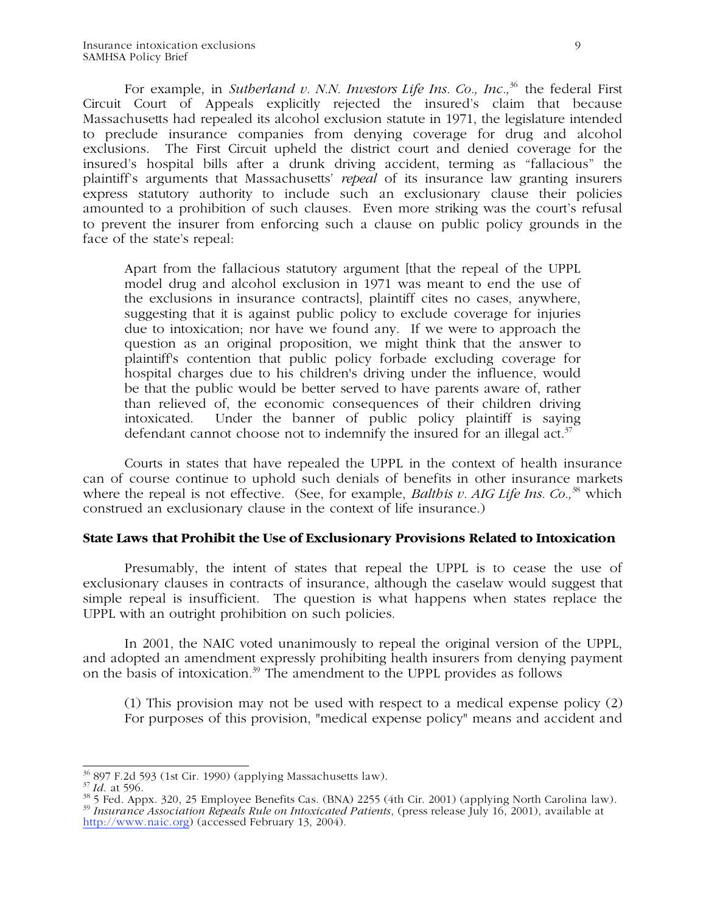For example, in *Sutherland v. N.N. Investors Life Ins. Co., Inc.*<sup>36</sup> the federal First Circuit Court of Appeals explicitly rejected the insured's claim that because Massachusetts had repealed its alcohol exclusion statute in 1971, the legislature intended to preclude insurance companies from denying coverage for drug and alcohol exclusions. The First Circuit upheld the district court and denied coverage for the insured's hospital bills after a drunk driving accident, terming as "fallacious" the plaintiff's arguments that Massachusetts' *repeal* of its insurance law granting insurers express statutory authority to include such an exclusionary clause their policies amounted to a prohibition of such clauses. Even more striking was the court's refusal to prevent the insurer from enforcing such a clause on public policy grounds in the face of the state's repeal:

Apart from the fallacious statutory argument [that the repeal of the UPPL model drug and alcohol exclusion in 1971 was meant to end the use of the exclusions in insurance contracts], plaintiff cites no cases, anywhere, suggesting that it is against public policy to exclude coverage for injuries due to intoxication; nor have we found any. If we were to approach the question as an original proposition, we might think that the answer to plaintiff's contention that public policy forbade excluding coverage for hospital charges due to his children's driving under the influence, would be that the public would be better served to have parents aware of, rather than relieved of, the economic consequences of their children driving intoxicated. Under the banner of public policy plaintiff is saying defendant cannot choose not to indemnify the insured for an illegal act.<sup>37</sup>

 Courts in states that have repealed the UPPL in the context of health insurance can of course continue to uphold such denials of benefits in other insurance markets where the repeal is not effective. (See, for example, *Balthis v. AIG Life Ins. Co.*<sup>38</sup> which construed an exclusionary clause in the context of life insurance.)

## **State Laws that Prohibit the Use of Exclusionary Provisions Related to Intoxication**

Presumably, the intent of states that repeal the UPPL is to cease the use of exclusionary clauses in contracts of insurance, although the caselaw would suggest that simple repeal is insufficient. The question is what happens when states replace the UPPL with an outright prohibition on such policies.

In 2001, the NAIC voted unanimously to repeal the original version of the UPPL, and adopted an amendment expressly prohibiting health insurers from denying payment on the basis of intoxication*.* <sup>39</sup> The amendment to the UPPL provides as follows

(1) This provision may not be used with respect to a medical expense policy (2) For purposes of this provision, "medical expense policy" means and accident and

<sup>&</sup>lt;sup>36</sup> 897 F.2d 593 (1st Cir. 1990) (applying Massachusetts law).

<sup>&</sup>lt;sup>37</sup> Id. at 596.<br><sup>38</sup> 5 Fed. Appx. 320, 25 Employee Benefits Cas. (BNA) 2255 (4th Cir. 2001) (applying North Carolina law). <sup>39</sup> *Insurance Association Repeals Rule on Intoxicated Patients*, (press release July 16, 2001), available at http://www.naic.org) (accessed February 13, 2004).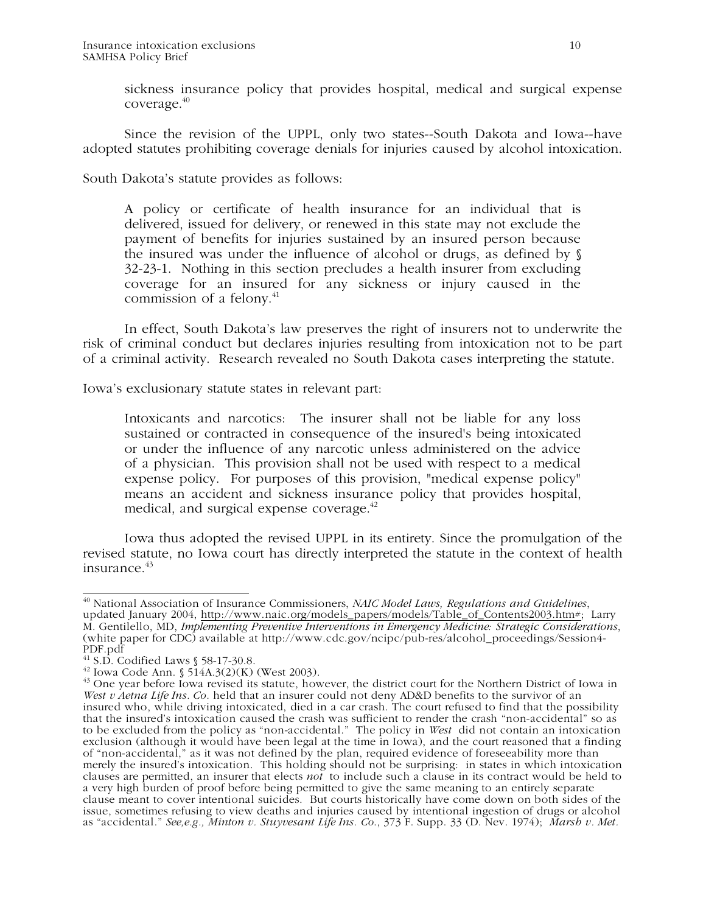sickness insurance policy that provides hospital, medical and surgical expense coverage.40

Since the revision of the UPPL, only two states--South Dakota and Iowa--have adopted statutes prohibiting coverage denials for injuries caused by alcohol intoxication.

South Dakota's statute provides as follows:

A policy or certificate of health insurance for an individual that is delivered, issued for delivery, or renewed in this state may not exclude the payment of benefits for injuries sustained by an insured person because the insured was under the influence of alcohol or drugs, as defined by § 32-23-1. Nothing in this section precludes a health insurer from excluding coverage for an insured for any sickness or injury caused in the commission of a felony.<sup>41</sup>

In effect, South Dakota's law preserves the right of insurers not to underwrite the risk of criminal conduct but declares injuries resulting from intoxication not to be part of a criminal activity. Research revealed no South Dakota cases interpreting the statute.

Iowa's exclusionary statute states in relevant part:

Intoxicants and narcotics: The insurer shall not be liable for any loss sustained or contracted in consequence of the insured's being intoxicated or under the influence of any narcotic unless administered on the advice of a physician. This provision shall not be used with respect to a medical expense policy. For purposes of this provision, "medical expense policy" means an accident and sickness insurance policy that provides hospital, medical, and surgical expense coverage. $42$ 

Iowa thus adopted the revised UPPL in its entirety. Since the promulgation of the revised statute, no Iowa court has directly interpreted the statute in the context of health  $insurance<sup>43</sup>$ 

 $\overline{\phantom{a}}$ 40 National Association of Insurance Commissioners, *NAIC Model Laws, Regulations and Guidelines*, updated January 2004, http://www.naic.org/models\_papers/models/Table\_of\_Contents2003.htm#; Larry M. Gentilello, MD, *Implementing Preventive Interventions in Emergency Medicine: Strategic Considerations*, (white paper for CDC) available at http://www.cdc.gov/ncipc/pub-res/alcohol\_proceedings/Session4- PDF.pdf

<sup>&</sup>lt;sup>41</sup> S.D. Codified Laws § 58-17-30.8.<br><sup>42</sup> Iowa Code Ann. § 514A.3(2)(K) (West 2003).

<sup>&</sup>lt;sup>43</sup> One year before Iowa revised its statute, however, the district court for the Northern District of Iowa in *West v Aetna Life Ins. Co.* held that an insurer could not deny AD&D benefits to the survivor of an insured who, while driving intoxicated, died in a car crash. The court refused to find that the possibility that the insured's intoxication caused the crash was sufficient to render the crash "non-accidental" so as to be excluded from the policy as "non-accidental." The policy in *West* did not contain an intoxication exclusion (although it would have been legal at the time in Iowa), and the court reasoned that a finding of "non-accidental," as it was not defined by the plan, required evidence of foreseeability more than merely the insured's intoxication. This holding should not be surprising: in states in which intoxication clauses are permitted, an insurer that elects *not* to include such a clause in its contract would be held to a very high burden of proof before being permitted to give the same meaning to an entirely separate clause meant to cover intentional suicides. But courts historically have come down on both sides of the issue, sometimes refusing to view deaths and injuries caused by intentional ingestion of drugs or alcohol as "accidental." *See,e.g., Minton v. Stuyvesant Life Ins. Co*., 373 F. Supp. 33 (D. Nev. 1974); *Marsh v. Met.*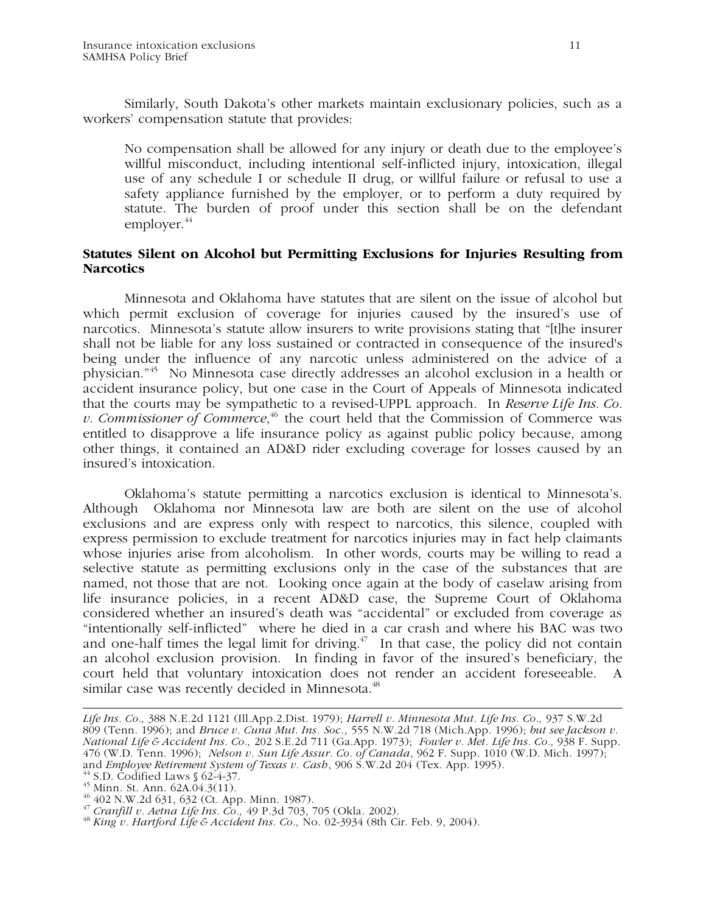Similarly, South Dakota's other markets maintain exclusionary policies, such as a workers' compensation statute that provides:

No compensation shall be allowed for any injury or death due to the employee's willful misconduct, including intentional self-inflicted injury, intoxication, illegal use of any schedule I or schedule II drug, or willful failure or refusal to use a safety appliance furnished by the employer, or to perform a duty required by statute. The burden of proof under this section shall be on the defendant employer. $44$ 

## **Statutes Silent on Alcohol but Permitting Exclusions for Injuries Resulting from Narcotics**

 Minnesota and Oklahoma have statutes that are silent on the issue of alcohol but which permit exclusion of coverage for injuries caused by the insured's use of narcotics. Minnesota's statute allow insurers to write provisions stating that "[t]he insurer shall not be liable for any loss sustained or contracted in consequence of the insured's being under the influence of any narcotic unless administered on the advice of a physician."45 No Minnesota case directly addresses an alcohol exclusion in a health or accident insurance policy, but one case in the Court of Appeals of Minnesota indicated that the courts may be sympathetic to a revised-UPPL approach. In *Reserve Life Ins. Co. v. Commissioner of Commerce*,<sup>46</sup> the court held that the Commission of Commerce was entitled to disapprove a life insurance policy as against public policy because, among other things, it contained an AD&D rider excluding coverage for losses caused by an insured's intoxication.

 Oklahoma's statute permitting a narcotics exclusion is identical to Minnesota's. Although Oklahoma nor Minnesota law are both are silent on the use of alcohol exclusions and are express only with respect to narcotics, this silence, coupled with express permission to exclude treatment for narcotics injuries may in fact help claimants whose injuries arise from alcoholism. In other words, courts may be willing to read a selective statute as permitting exclusions only in the case of the substances that are named, not those that are not. Looking once again at the body of caselaw arising from life insurance policies, in a recent AD&D case, the Supreme Court of Oklahoma considered whether an insured's death was "accidental" or excluded from coverage as "intentionally self-inflicted" where he died in a car crash and where his BAC was two and one-half times the legal limit for driving.<sup> $47$ </sup> In that case, the policy did not contain an alcohol exclusion provision. In finding in favor of the insured's beneficiary, the court held that voluntary intoxication does not render an accident foreseeable. A similar case was recently decided in Minnesota.<sup>48</sup>

*Life Ins. Co.,* 388 N.E.2d 1121 (Ill.App.2.Dist. 1979); *Harrell v. Minnesota Mut. Life Ins. Co.,* 937 S.W.2d 809 (Tenn. 1996); and *Bruce v. Cuna Mut. Ins. Soc*., 555 N.W.2d 718 (Mich.App. 1996); *but see Jackson v. National Life & Accident Ins. Co.,* 202 S.E.2d 711 (Ga.App. 1973); *Fowler v. Met. Life Ins. Co.,* 938 F. Supp. 476 (W.D. Tenn. 1996); *Nelson v. Sun Life Assur. Co. of Canada*, 962 F. Supp. 1010 (W.D. Mich. 1997); and *Employee Retirement System of Texas v. Cash*, 906 S.W.2d 204 (Tex. App. 1995).<br><sup>44</sup> S.D. Codified Laws § 62-4-37.<br><sup>45</sup> Minn. St. Ann. 62A.04.3(11).

<sup>&</sup>lt;sup>46</sup> 402 N.W.2d 631, 632 (Ct. App. Minn. 1987).<br><sup>47</sup> Cranfill v. Aetna Life Ins. Co., 49 P.3d 703, 705 (Okla. 2002).

<sup>&</sup>lt;sup>48</sup> *King v. Hartford Life & Accident Ins. Co., No. 02-3934 (8th Cir. Feb. 9, 2004).*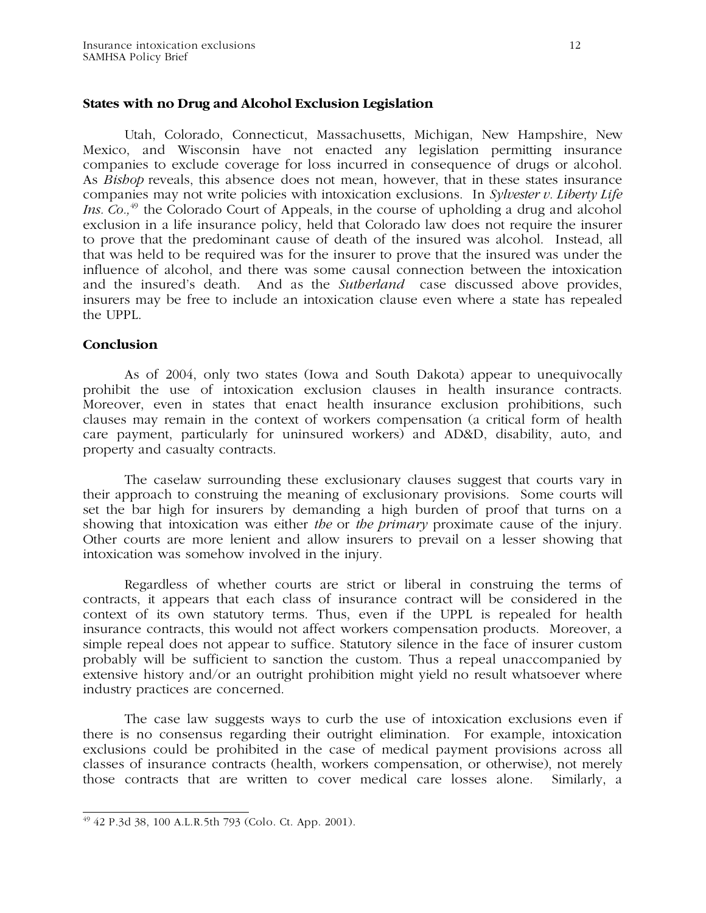## **States with no Drug and Alcohol Exclusion Legislation**

Utah, Colorado, Connecticut, Massachusetts, Michigan, New Hampshire, New Mexico, and Wisconsin have not enacted any legislation permitting insurance companies to exclude coverage for loss incurred in consequence of drugs or alcohol. As *Bishop* reveals, this absence does not mean, however, that in these states insurance companies may not write policies with intoxication exclusions. In *Sylvester v. Liberty Life Ins. Co.*<sup>49</sup> the Colorado Court of Appeals, in the course of upholding a drug and alcohol exclusion in a life insurance policy, held that Colorado law does not require the insurer to prove that the predominant cause of death of the insured was alcohol. Instead, all that was held to be required was for the insurer to prove that the insured was under the influence of alcohol, and there was some causal connection between the intoxication and the insured's death. And as the *Sutherland* case discussed above provides, insurers may be free to include an intoxication clause even where a state has repealed the UPPL.

## **Conclusion**

 As of 2004, only two states (Iowa and South Dakota) appear to unequivocally prohibit the use of intoxication exclusion clauses in health insurance contracts. Moreover, even in states that enact health insurance exclusion prohibitions, such clauses may remain in the context of workers compensation (a critical form of health care payment, particularly for uninsured workers) and AD&D, disability, auto, and property and casualty contracts.

The caselaw surrounding these exclusionary clauses suggest that courts vary in their approach to construing the meaning of exclusionary provisions. Some courts will set the bar high for insurers by demanding a high burden of proof that turns on a showing that intoxication was either *the* or *the primary* proximate cause of the injury. Other courts are more lenient and allow insurers to prevail on a lesser showing that intoxication was somehow involved in the injury.

Regardless of whether courts are strict or liberal in construing the terms of contracts, it appears that each class of insurance contract will be considered in the context of its own statutory terms. Thus, even if the UPPL is repealed for health insurance contracts, this would not affect workers compensation products. Moreover, a simple repeal does not appear to suffice. Statutory silence in the face of insurer custom probably will be sufficient to sanction the custom. Thus a repeal unaccompanied by extensive history and/or an outright prohibition might yield no result whatsoever where industry practices are concerned.

The case law suggests ways to curb the use of intoxication exclusions even if there is no consensus regarding their outright elimination. For example, intoxication exclusions could be prohibited in the case of medical payment provisions across all classes of insurance contracts (health, workers compensation, or otherwise), not merely those contracts that are written to cover medical care losses alone. Similarly, a

 $\overline{\phantom{a}}$ 49 42 P.3d 38, 100 A.L.R.5th 793 (Colo. Ct. App. 2001).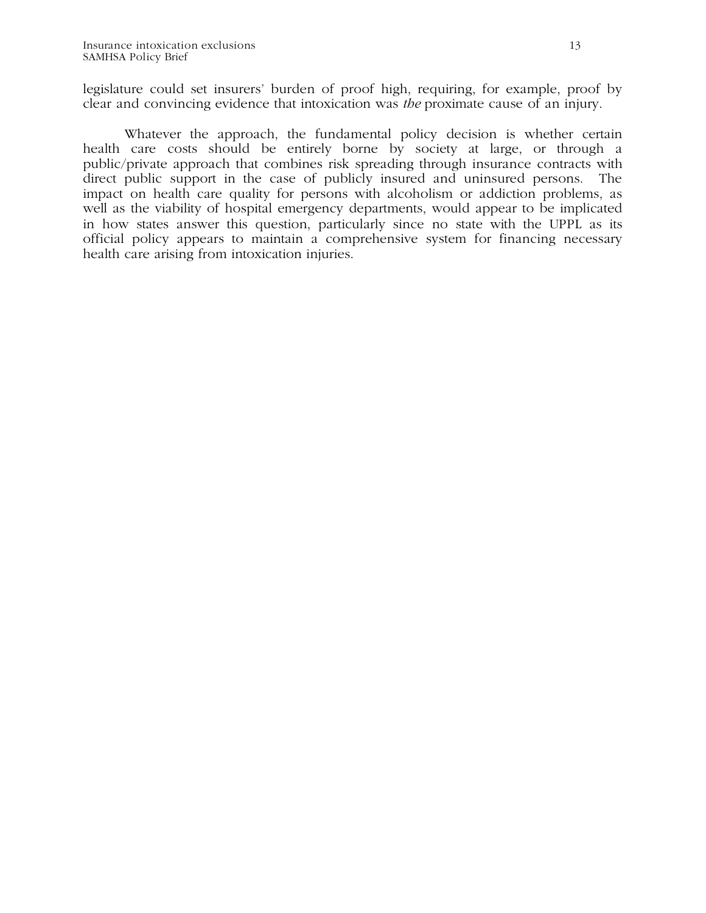legislature could set insurers' burden of proof high, requiring, for example, proof by clear and convincing evidence that intoxication was *the* proximate cause of an injury.

Whatever the approach, the fundamental policy decision is whether certain health care costs should be entirely borne by society at large, or through a public/private approach that combines risk spreading through insurance contracts with direct public support in the case of publicly insured and uninsured persons. The impact on health care quality for persons with alcoholism or addiction problems, as well as the viability of hospital emergency departments, would appear to be implicated in how states answer this question, particularly since no state with the UPPL as its official policy appears to maintain a comprehensive system for financing necessary health care arising from intoxication injuries.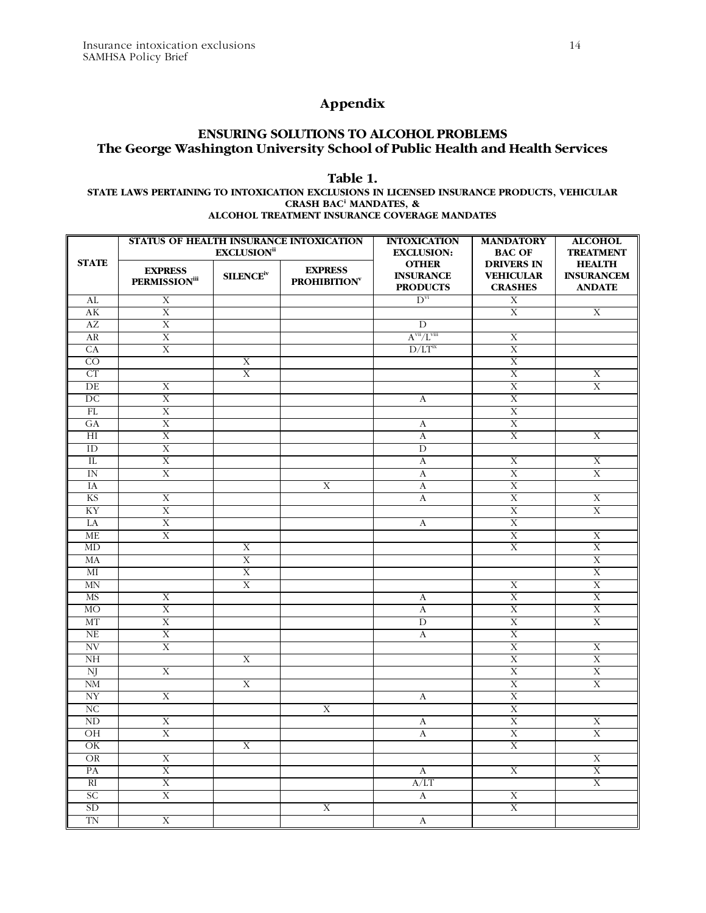# **Appendix**

## **ENSURING SOLUTIONS TO ALCOHOL PROBLEMS The George Washington University School of Public Health and Health Services**

### **Table 1.**

#### **STATE LAWS PERTAINING TO INTOXICATION EXCLUSIONS IN LICENSED INSURANCE PRODUCTS, VEHICULAR CRASH BACi MANDATES, & ALCOHOL TREATMENT INSURANCE COVERAGE MANDATES**

| <b>STATE</b>             | STATUS OF HEALTH INSURANCE INTOXICATION<br><b>EXCLUSION</b> <sup>ii</sup> |                      |                                      | <b>INTOXICATION</b><br><b>EXCLUSION:</b>            | <b>MANDATORY</b><br><b>BAC OF</b>                       | <b>ALCOHOL</b><br><b>TREATMENT</b>                  |
|--------------------------|---------------------------------------------------------------------------|----------------------|--------------------------------------|-----------------------------------------------------|---------------------------------------------------------|-----------------------------------------------------|
|                          | <b>EXPRESS</b><br><b>PERMISSION</b> iii                                   | SLENCE <sup>iv</sup> | <b>EXPRESS</b><br><b>PROHIBITION</b> | <b>OTHER</b><br><b>INSURANCE</b><br><b>PRODUCTS</b> | <b>DRIVERS IN</b><br><b>VEHICULAR</b><br><b>CRASHES</b> | <b>HEALTH</b><br><b>INSURANCEM</b><br><b>ANDATE</b> |
| AL                       | X                                                                         |                      |                                      | $D^{vi}$                                            | X                                                       |                                                     |
| AK                       | $\mathbf X$                                                               |                      |                                      |                                                     | $\mathbf X$                                             | $\mathbf X$                                         |
| AZ                       | $\overline{X}$                                                            |                      |                                      | $\overline{D}$                                      |                                                         |                                                     |
| AR                       | $\overline{\mathrm{X}}$                                                   |                      |                                      | $A^{vii}/L^{viii}$                                  | $\overline{\mathbf{X}}$                                 |                                                     |
| CA                       | $\overline{\mathrm{X}}$                                                   |                      |                                      | $D/LT^{ix}$                                         | X                                                       |                                                     |
| $\overline{CO}$          |                                                                           | X                    |                                      |                                                     | $\overline{X}$                                          |                                                     |
| CT                       |                                                                           | X                    |                                      |                                                     | $\overline{X}$                                          | $\mathbf X$                                         |
| DE                       | X                                                                         |                      |                                      |                                                     | $\mathbf X$                                             | X                                                   |
| DC                       | X                                                                         |                      |                                      | A                                                   | X                                                       |                                                     |
| FL                       | $\overline{X}$                                                            |                      |                                      |                                                     | $\overline{\mathrm{X}}$                                 |                                                     |
| GA<br>$\overline{H}$     | $\mathbf X$<br>$\overline{X}$                                             |                      |                                      | A<br>$\mathbf{A}$                                   | $\mathbf X$<br>$\overline{X}$                           | X                                                   |
| ID                       | X                                                                         |                      |                                      | D                                                   |                                                         |                                                     |
| IL                       | $\overline{\mathrm{X}}$                                                   |                      |                                      | $\boldsymbol{A}$                                    | X                                                       | X                                                   |
| IN                       | X                                                                         |                      |                                      | A                                                   | X                                                       | X                                                   |
| IA                       |                                                                           |                      | $\overline{X}$                       | $\mathbf{A}$                                        | $\overline{X}$                                          |                                                     |
| <b>KS</b>                | $\overline{\mathbf{X}}$                                                   |                      |                                      | $\boldsymbol{\mathrm{A}}$                           | $\overline{\mathrm{X}}$                                 | $\overline{X}$                                      |
| KY                       | $\overline{X}$                                                            |                      |                                      |                                                     | $\overline{X}$                                          | $\overline{X}$                                      |
| LA                       | $\overline{\mathrm{X}}$                                                   |                      |                                      | A                                                   | $\overline{X}$                                          |                                                     |
| ME                       | $\overline{\mathrm{X}}$                                                   |                      |                                      |                                                     | $\overline{X}$                                          | X                                                   |
| MD                       |                                                                           | X                    |                                      |                                                     | $\overline{X}$                                          | $\overline{X}$                                      |
| MA                       |                                                                           | X                    |                                      |                                                     |                                                         | X                                                   |
| МI                       |                                                                           | $\overline{X}$       |                                      |                                                     |                                                         | $\overline{X}$                                      |
| $\mbox{MN}$              |                                                                           | X                    |                                      |                                                     | X                                                       | X                                                   |
| <b>MS</b>                | $\overline{X}$                                                            |                      |                                      | A                                                   | $\overline{\mathrm{X}}$                                 | $\overline{X}$                                      |
| <b>MO</b>                | $\mathbf X$                                                               |                      |                                      | $\mathbf A$                                         | $\overline{X}$                                          | $\overline{\mathbf{X}}$                             |
| MT                       | $\overline{X}$                                                            |                      |                                      | D                                                   | $\overline{X}$                                          | $\overline{X}$                                      |
| NE                       | $\overline{X}$                                                            |                      |                                      | A                                                   | $\overline{\mathrm{X}}$                                 |                                                     |
| NV                       | $\overline{\mathrm{X}}$                                                   |                      |                                      |                                                     | $\overline{\mathrm{X}}$                                 | X                                                   |
| N <sub>H</sub>           |                                                                           | $\overline{X}$       |                                      |                                                     | $\overline{\mathrm{X}}$                                 | $\overline{X}$                                      |
| NJ<br>$N\overline{M}$    | $\mathbf X$                                                               | X                    |                                      |                                                     | $\mathbf X$<br>$\mathbf X$                              | X<br>X                                              |
| $\ensuremath{\text{NY}}$ | X                                                                         |                      |                                      | $\boldsymbol{A}$                                    | $\overline{\text{X}}$                                   |                                                     |
| $\overline{\text{NC}}$   |                                                                           |                      | X                                    |                                                     | X                                                       |                                                     |
| ND                       | $\overline{\mathrm{X}}$                                                   |                      |                                      | A                                                   | $\overline{\mathrm{X}}$                                 | X                                                   |
| OH                       | $\overline{X}$                                                            |                      |                                      | $\overline{A}$                                      | $\overline{\mathrm{X}}$                                 | $\overline{X}$                                      |
| $\overline{\text{OK}}$   |                                                                           | $\overline{X}$       |                                      |                                                     | $\overline{\text{X}}$                                   |                                                     |
| <b>OR</b>                | X                                                                         |                      |                                      |                                                     |                                                         | X                                                   |
| PA                       | $\mathbf X$                                                               |                      |                                      | A                                                   | $\mathbf X$                                             | $\mathbf X$                                         |
| $R_{I}$                  | X                                                                         |                      |                                      | A/LT                                                |                                                         | X                                                   |
| <b>SC</b>                | $\overline{\mathrm{X}}$                                                   |                      |                                      | $\boldsymbol{A}$                                    | X                                                       |                                                     |
| SD                       |                                                                           |                      | Χ                                    |                                                     | $\overline{\mathrm{X}}$                                 |                                                     |
| TN                       | $\overline{\mathrm{X}}$                                                   |                      |                                      | A                                                   |                                                         |                                                     |